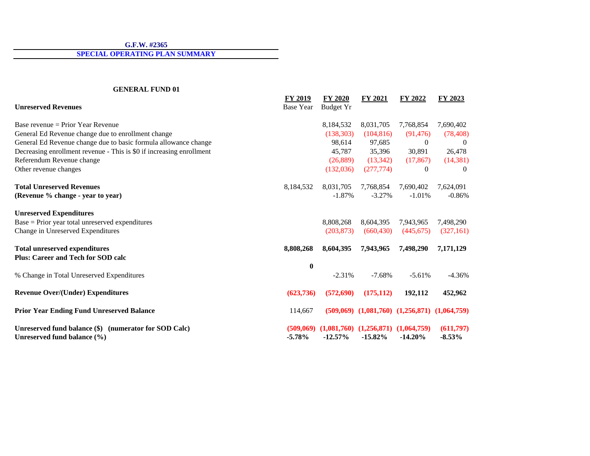**SPECIAL OPERATING PLAN SUMMARY**

## **GENERAL FUND 01**

| <b>Unreserved Revenues</b>                                                           | FY 2019<br><b>Base Year</b> | <b>FY 2020</b><br><b>Budget Yr</b> | <b>FY 2021</b>                                          | FY 2022                                               | FY 2023               |  |
|--------------------------------------------------------------------------------------|-----------------------------|------------------------------------|---------------------------------------------------------|-------------------------------------------------------|-----------------------|--|
| Base revenue = Prior Year Revenue                                                    |                             | 8,184,532                          | 8,031,705                                               | 7,768,854                                             | 7,690,402             |  |
| General Ed Revenue change due to enrollment change                                   |                             | (138, 303)                         | (104, 816)                                              | (91, 476)                                             | (78, 408)             |  |
| General Ed Revenue change due to basic formula allowance change                      |                             | 98,614                             | 97,685                                                  | $\theta$                                              | $\theta$              |  |
| Decreasing enrollment revenue - This is \$0 if increasing enrollment                 |                             | 45,787                             | 35,396                                                  | 30,891                                                | 26,478                |  |
| Referendum Revenue change                                                            |                             | (26,889)                           | (13, 342)                                               | (17, 867)                                             | (14, 381)             |  |
| Other revenue changes                                                                |                             | (132,036)                          | (277, 774)                                              | $\left($                                              | $\left($              |  |
| <b>Total Unreserved Revenues</b>                                                     | 8,184,532                   | 8,031,705                          | 7,768,854                                               | 7,690,402                                             | 7,624,091             |  |
| (Revenue % change - year to year)                                                    |                             | $-1.87%$                           | $-3.27%$                                                | $-1.01%$                                              | $-0.86%$              |  |
| <b>Unreserved Expenditures</b>                                                       |                             |                                    |                                                         |                                                       |                       |  |
| Base = Prior year total unreserved expenditures                                      |                             | 8,808,268                          | 8,604,395                                               | 7,943,965                                             | 7,498,290             |  |
| Change in Unreserved Expenditures                                                    |                             | (203, 873)                         | (660, 430)                                              | (445, 675)                                            | (327,161)             |  |
| <b>Total unreserved expenditures</b>                                                 | 8,808,268                   | 8,604,395                          | 7,943,965                                               | 7,498,290                                             | 7,171,129             |  |
| <b>Plus: Career and Tech for SOD calc</b>                                            |                             |                                    |                                                         |                                                       |                       |  |
|                                                                                      | $\bf{0}$                    |                                    |                                                         |                                                       |                       |  |
| % Change in Total Unreserved Expenditures                                            |                             | $-2.31%$                           | $-7.68%$                                                | $-5.61%$                                              | $-4.36%$              |  |
| <b>Revenue Over/(Under) Expenditures</b>                                             | (623, 736)                  | (572, 690)                         | (175, 112)                                              | 192,112                                               | 452,962               |  |
| <b>Prior Year Ending Fund Unreserved Balance</b>                                     | 114,667                     |                                    |                                                         | $(509,069)$ $(1,081,760)$ $(1,256,871)$ $(1,064,759)$ |                       |  |
| Unreserved fund balance (\$) (numerator for SOD Calc)<br>Unreserved fund balance (%) | (509,069)<br>$-5.78%$       | $-12.57%$                          | $(1,081,760)$ $(1,256,871)$ $(1,064,759)$<br>$-15.82\%$ | $-14.20\%$                                            | (611,797)<br>$-8.53%$ |  |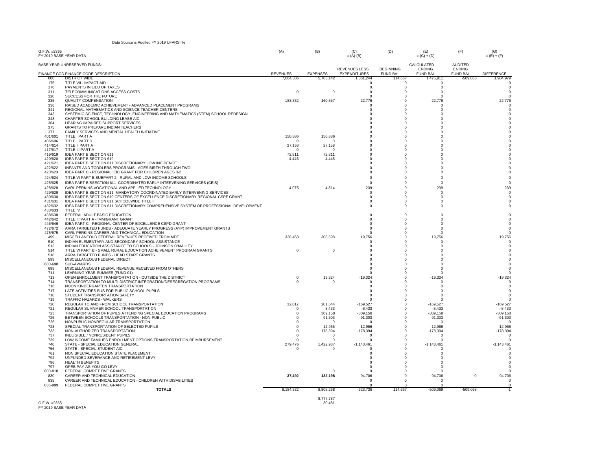| Data Source is Audited FY 2019 UFARS file |  |  |
|-------------------------------------------|--|--|
|-------------------------------------------|--|--|

| G.F.W. #2365<br>FY 2019 BASE YEAR DATA |                                                                                                                               | (A)                    | (B)                | (C)<br>$= (A)-(B)$       | (D)                    | (E)<br>$= (C) + (D)$        | (F)                             | (G)<br>$= (E) + (F)$   |
|----------------------------------------|-------------------------------------------------------------------------------------------------------------------------------|------------------------|--------------------|--------------------------|------------------------|-----------------------------|---------------------------------|------------------------|
|                                        | BASE YEAR UNRESERVED FUNDS:                                                                                                   |                        |                    | <b>REVENUES LESS</b>     | <b>BEGINNING</b>       | CALCULATED<br><b>ENDING</b> | <b>AUDITED</b><br><b>ENDING</b> |                        |
| റററ                                    | FINANCE COD FINANCE CODE DESCRIPTION<br><b>DISTRICT WIDE</b>                                                                  | <b>REVENUES</b>        | <b>EXPENSES</b>    | <b>EXPENDITURES</b>      | <b>FUND BAL</b>        | <b>FUND BAL</b>             | <b>FUND BAL</b>                 | <b>DIFFERENCE</b>      |
| 175                                    | TITLE VII - IMPACT AID                                                                                                        | 7,064,386              | 5,703,142          | 1,361,244<br>$\mathbf 0$ | 114,667<br>$\mathbf 0$ | 1,475,911<br>$\mathsf 0$    | -509,068                        | 1,984,979              |
| 176                                    | PAYMENTS IN LIEU OF TAXES                                                                                                     |                        |                    | $^{\circ}$               | $\Omega$               | $\circ$                     |                                 | $\Omega$               |
| 311                                    | TELECOMMUNICATIONS ACCESS COSTS                                                                                               | $\mathbf 0$            | 0                  | 0                        | $\Omega$               | $\Omega$                    |                                 | $\Omega$               |
| 320                                    | SUCCESS FOR THE FUTURE                                                                                                        |                        |                    | $\Omega$                 | $\Omega$               | $\Omega$                    |                                 |                        |
| 335                                    | <b>QUALITY COMPENSATION</b>                                                                                                   | 183,332                | 160,557            | 22,776                   | $\Omega$               | 22,776                      |                                 | 22,776                 |
| 336<br>341                             | RAISED ACADEMIC ACHIEVEMENT - ADVANCED PLACEMENT PROGRAMS<br>REGIONAL MATHEMATICS AND SCIENCE TEACHER CENTERS                 |                        |                    | $^{\circ}$<br>$\Omega$   | $\Omega$<br>$\Omega$   | $\Omega$<br>$\Omega$        |                                 | $\Omega$               |
| 343                                    | SYSTEMIC SCIENCE, TECHNOLOGY, ENGINEERING AND MATHEMATICS (STEM) SCHOOL REDESIGN                                              |                        |                    | $\Omega$                 | $\mathbf 0$            | $\Omega$                    |                                 |                        |
| 348                                    | CHARTER SCHOOL BUILDING LEASE AID                                                                                             |                        |                    | $\Omega$                 | $\Omega$               | $\Omega$                    |                                 |                        |
| 364                                    | HEARING IMPAIRED SUPPORT SERVICES                                                                                             |                        |                    | $\Omega$                 | $\Omega$               | $\Omega$                    |                                 |                        |
| 375                                    | GRANTS TO PREPARE INDIAN TEACHERS                                                                                             |                        |                    | $\Omega$                 | $\Omega$               | n                           |                                 |                        |
| 377<br>401/601                         | FAMILY SERVICES AND MENTAL HEALTH INITIATIVE<br>TITLE I PART A                                                                | 150,886                | 150,886            | $\Omega$<br>$\Omega$     | $\Omega$<br>$\Omega$   | O<br>n                      |                                 |                        |
| 406/606                                | TITLE I PART D                                                                                                                | $\Omega$               | $\Omega$           | $\Omega$                 | $\Omega$               |                             |                                 |                        |
| 414/614                                | TITLE II PART A                                                                                                               | 27,158                 | 27,158             | $\Omega$                 | $\Omega$               |                             |                                 |                        |
| 417/617                                | TITLE III PART A                                                                                                              | $\Omega$               | $\Omega$           | $^{\circ}$               | $\Omega$               | O                           |                                 |                        |
| 419/619                                | IDEA PART B SECTION 611                                                                                                       | 72,811                 | 72,811             | $\Omega$                 | $\Omega$               | $\Omega$                    |                                 |                        |
| 420/620<br>421/621                     | IDEA PART B SECTION 619<br>IDEA PART B SECTION 611 DISCRETIONARY LOW INCIDENCE                                                | 4,445                  | 4,445              | 0<br>$\Omega$            | $\Omega$<br>$\Omega$   | $\Omega$<br>$\Omega$        |                                 |                        |
| 422/622                                | INFANTS AND TODDLERS PROGRAMS - AGES BIRTH THROUGH TWO                                                                        |                        |                    | $\Omega$                 | $\Omega$               | $\Omega$                    |                                 |                        |
| 423/623                                | IDEA PART C - REGIONAL IEIC GRANT FOR CHILDREN AGES 0-2                                                                       |                        |                    | $\Omega$                 | $\Omega$               | $\Omega$                    |                                 |                        |
| 424/624                                | TITLE VI PART B SUBPART 2 - RURAL AND LOW INCOME SCHOOLS                                                                      |                        |                    | $\Omega$                 | $\Omega$               | $\Omega$                    |                                 |                        |
| 425/625                                | IDEA PART B SSECTION 611 COORDINATED EARLY INTERVENING SERVICES (CEIS)                                                        |                        |                    | $\Omega$                 | $\Omega$               | $\Omega$                    |                                 | $\Omega$               |
| 428/628                                | CARL PERKINS VOCATIONAL AND APPLIED TECHNOLOGY                                                                                | 4,075                  | 4,314              | $-239$                   | $\Omega$               | $-239$                      |                                 | $-239$                 |
| 429/629                                | IDEA PART B SECTION 611 MANDATORY COORDINATED EARLY INTERVENING SERVICES                                                      |                        |                    | $\Omega$                 | $\Omega$               | $\Omega$                    |                                 | $\Omega$               |
| 430/630<br>431/631                     | IDEA PART B SECTION 619 CENTERS OF EXCELLENCE DISCRETIONARY REGIONAL CSPF GRANT<br>IDEA PART B SECTION 611 SCHOOLWIDE TITLE I |                        |                    | $\Omega$<br>$\mathbf 0$  | $\Omega$<br>$\Omega$   | $\Omega$<br>$\Omega$        |                                 | $\Omega$<br>$\Omega$   |
| 432/632                                | IDEA PART B SECTION 611 DISCRETIONARY COMPREHENSIVE SYSTEM OF PROFESSIONAL DEVELOPMENT                                        |                        |                    | $\mathbf 0$              | $\Omega$               | $\Omega$                    |                                 |                        |
| 433/633                                | TITLE IV                                                                                                                      |                        |                    |                          |                        |                             |                                 |                        |
| 438/638                                | FEDERAL ADULT BASIC EDUCATION                                                                                                 |                        |                    | $\mathbf 0$              | $\mathbf 0$            | $\mathbf 0$                 |                                 |                        |
| 442/642                                | TITLE III PART A - IMMIGRANT GRANT                                                                                            |                        |                    | $\Omega$                 | $\Omega$               | $\Omega$                    |                                 | $\Omega$               |
| 446/646<br>472/672                     | IDEA PART C - REGIONAL CENTER OF EXCELLENCE CSPD GRANT                                                                        |                        |                    | 0                        | $\Omega$               | $\Omega$                    |                                 | $\Omega$               |
| 475/675                                | ARRA TARGETED FUNDS - ADEQUATE YEARLY PROGRESS (AYP) IMPROVEMENT GRANTS<br>CARL PERKINS CAREER AND TECHNICAL EDUCATION        |                        |                    | $\Omega$<br>$\Omega$     | $\Omega$<br>$\Omega$   | $\Omega$<br>$\Omega$        |                                 | $\Omega$<br>$\Omega$   |
| 499                                    | MISCELLANEOUD FEDERAL REVENUES RECEIVED FROM MDE                                                                              | 328,453                | 308,698            | 19,756                   | $\Omega$               | 19,756                      |                                 | 19,756                 |
| 510                                    | INDIAN ELEMENTARY AND SECONDARY SCHOOL ASSISTANCE                                                                             |                        |                    | $\Omega$                 | $\Omega$               | $\Omega$                    |                                 | $\Omega$               |
| 513                                    | INDIAN EDUCATION ASSISTANCE TO SCHOOLS - JOHNSON O'MALLEY                                                                     |                        |                    | $\circ$                  | $\mathbf 0$            | $\Omega$                    |                                 | $^{\circ}$             |
| 514<br>518                             | TITLE VI PART B - SMALL RURAL EDUCATION ACHEIVEMENT PROGRAM GRANTS                                                            | $\mathbf 0$            | $\Omega$           | $\Omega$<br>$\Omega$     | $\Omega$<br>$\Omega$   | $\Omega$<br>$\Omega$        |                                 | $\Omega$<br>$\Omega$   |
| 599                                    | ARRA TARGETED FUNDS - HEAD START GRANTS<br>MISCELLANEOUS FEDERAL DIRECT                                                       |                        |                    | $\Omega$                 | $\Omega$               | $\Omega$                    |                                 | $\Omega$               |
| 600-698                                | SUB-AWARDS                                                                                                                    |                        |                    | $\Omega$                 | $\Omega$               | $\Omega$                    |                                 | $\Omega$               |
| 699                                    | MISCELLANEOUS FEDERAL REVENUE RECEIVED FROM OTHERS                                                                            |                        |                    | $\Omega$                 | $\Omega$               | $\Omega$                    |                                 |                        |
| 711                                    | LEARNING YEAR-SUMMER (FUND 01)                                                                                                |                        |                    | $\Omega$                 | $\Omega$               | O                           |                                 |                        |
| 713<br>714                             | OPEN ENROLLMENT TRANSPORTATION - OUTSIDE THE DISTRICT<br>TRANSPORTATION TO MULTI-DISTRICT INTEGRATION/DESEGREGATION PROGRAMS  | $^{\circ}$<br>$\Omega$ | 19,324<br>$\Omega$ | $-19.324$<br>0           | $\Omega$<br>$\Omega$   | $-19,324$<br>0              |                                 | $-19,324$<br>$\Omega$  |
| 716                                    | NOON KINDERGARTEN TRANSPORTATION                                                                                              |                        |                    | $\Omega$                 | $\Omega$               | $\Omega$                    |                                 | $\Omega$               |
| 717                                    | LATE ACTIVITIES BUS FOR PUBLIC SCHOOL PUPILS                                                                                  |                        |                    | $\Omega$                 | $\Omega$               | $\Omega$                    |                                 | $\Omega$               |
| 718                                    | STUDENT TRANSPORTATION SAFETY                                                                                                 |                        |                    | $\Omega$                 | $\Omega$               | $\Omega$                    |                                 |                        |
| 719                                    | TRAFFIC HAZARDS - WALKERS                                                                                                     |                        |                    | $\Omega$                 | $\Omega$               | $\Omega$                    |                                 |                        |
| 720<br>721                             | REGULAR TO AND FROM SCHOOL TRANSPORTATION<br>REGULAR SUMNMER SCHOOL TRANSPORTATION                                            | 32,017<br>$\Omega$     | 201,544<br>8,433   | $-169,527$<br>$-8,433$   | $\Omega$               | $-169,527$<br>$-8,433$      |                                 | $-169,527$<br>$-8,433$ |
| 723                                    | TRANSPORTATION OF PUPILS ATTENDING SPECIAL EDUCATION PROGRAMS                                                                 |                        | 309,158            | $-309, 158$              | $\Omega$               | $-309, 158$                 |                                 | $-309, 158$            |
| 725                                    | BETWEEN SCHOOLS TRANSPORTATION - NON-PUBLIC                                                                                   | $\Omega$               | 91,303             | $-91,303$                | $\Omega$               | $-91,303$                   |                                 | $-91,303$              |
| 726                                    | NONPUBLIC NONREGULAR TRANSPORTATION                                                                                           | $\Omega$               | n                  | $\Omega$                 | $\Omega$               | $\Omega$                    |                                 | $\Omega$               |
| 728<br>733                             | SPECIAL TRANSPORTATION OF SELECTED PUPILS<br>NON-AUTHORIZED TRANSPORTATION                                                    | $\Omega$               | 12,966<br>178,394  | $-12.966$                | $\Omega$<br>$\Omega$   | $-12,966$<br>$-178,394$     |                                 | $-12.966$              |
| 737                                    | INELIGIBLE / NONRESIDENT PUPILS                                                                                               | $\Omega$<br>$\Omega$   | $\Omega$           | $-178,394$<br>$\Omega$   | $\Omega$               | $\Omega$                    |                                 | $-178,394$<br>$\Omega$ |
| 739                                    | LOW INCOME FAMILIES ENROLLMENT OPTIONS TRANSPORTATION REIMBURSEMENT                                                           | 0                      | $\Omega$           | $\Omega$                 | $\Omega$               | $\Omega$                    |                                 |                        |
| 740                                    | STATE - SPECIAL EDUCATION GENERAL                                                                                             | 279,476                | 1,422,937          | $-1,143,461$             | $\Omega$               | $-1, 143, 461$              |                                 | $-1,143,461$           |
| 756                                    | STATE - SPECIAL STUDENT AID                                                                                                   | $\Omega$               | $\Omega$           | $\Omega$                 | $\Omega$               | $\Omega$                    |                                 | $\Omega$               |
| 761                                    | NON SPECIAL EDUCATION STATE PLACEMENT                                                                                         |                        |                    | 0                        | 0                      | $\Omega$                    |                                 | $^{\circ}$             |
| 792<br>796                             | UNFUNDED SEVERANCE AND RETIREMENT LEVY<br><b>HEALTH BENEFITS</b>                                                              |                        |                    | $\Omega$<br>$\Omega$     | $\Omega$<br>$\Omega$   | $\Omega$<br>$\Omega$        |                                 | $\Omega$<br>$\Omega$   |
| 797                                    | OPEB PAY-AS-YOU-GO LEVY                                                                                                       |                        |                    | $\Omega$                 | $\Omega$               | $\Omega$                    |                                 | $\Omega$               |
| 800-818                                | FEDERAL COMPETITIVE GRANTS                                                                                                    |                        |                    | $\Omega$                 | $\Omega$               | $\Omega$                    |                                 | $\Omega$               |
| 830                                    | CAREER AND TECHNICAL EDUCATION                                                                                                | 37.492                 | 132,198            | $-94.706$                | $\Omega$               | $-94,706$                   | $\Omega$                        | $-94,706$              |
| 835                                    | CAREER AND TECHNICAL EDUCATION - CHILDREN WITH DISABILITIES                                                                   |                        |                    | $\Omega$                 | $\Omega$               | $\Omega$                    |                                 | $\Omega$               |
| 836-999                                | FEDERAL COMPETITIVE GRANTS<br><b>TOTALS</b>                                                                                   | 8,184,532              | 8,808,268          | $\Omega$<br>-623,736     | $\Omega$<br>114,667    | $\Omega$<br>$-509,069$      | $-509,068$                      | $\Omega$               |
|                                        |                                                                                                                               |                        |                    |                          |                        |                             |                                 |                        |

G.F.W. #2365<br>FY 2019 BASE YEAR DATA 30,481

8,777,787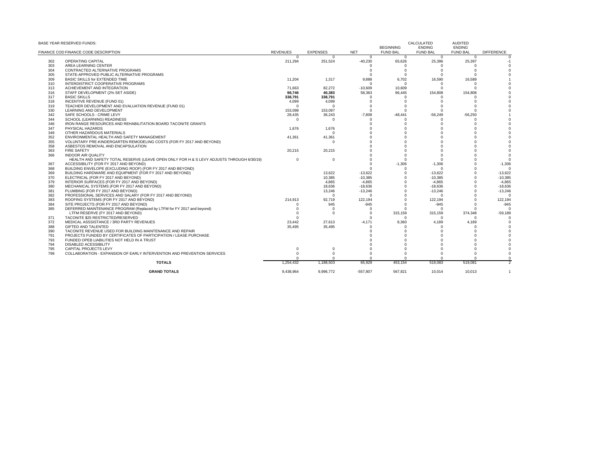|     | BASE YEAR RESERVED FUNDS:                                                                |                 |                 |            | <b>BEGINNING</b> | CALCULATED<br><b>ENDING</b> | <b>AUDITED</b><br><b>ENDING</b> |                   |
|-----|------------------------------------------------------------------------------------------|-----------------|-----------------|------------|------------------|-----------------------------|---------------------------------|-------------------|
|     | FINANCE COD FINANCE CODE DESCRIPTION                                                     | <b>REVENUES</b> | <b>EXPENSES</b> | <b>NET</b> | <b>FUND BAL</b>  | <b>FUND BAL</b>             | <b>FUND BAL</b>                 | <b>DIFFERENCE</b> |
|     |                                                                                          | $\Omega$        | $\Omega$        | $\Omega$   | $\Omega$         | $\Omega$                    | $\Omega$                        |                   |
| 302 | <b>OPERATING CAPITAL</b>                                                                 | 211.294         | 251,524         | $-40,230$  | 65,626           | 25,396                      | 25,397                          | $-1$              |
| 303 | AREA LEARNING CENTER                                                                     |                 |                 |            | $\Omega$         | $\Omega$<br>$\Omega$        |                                 |                   |
| 304 | CONTRACTED ALTERNATIVE PROGRAMS                                                          |                 |                 |            | $\Omega$         | $\Omega$                    |                                 |                   |
| 305 | STATE-APPROVED PUBLIC ALTERNATIVE PROGRAMS                                               |                 |                 |            |                  |                             |                                 |                   |
| 309 | BASIC SKILLS for EXTENDED TIME                                                           | 11,204          | 1,317           | 9,888      | 6,702            | 16,590                      | 16,589                          |                   |
| 310 | INTERDISTRICT COOPERATIVE PROGRAMS                                                       |                 |                 | $\Omega$   | $\Omega$         | $\Omega$                    | $\Omega$                        |                   |
| 313 | ACHIEVEMENT AND INTEGRATION                                                              | 71.663          | 82.272          | $-10.609$  | 10.609           | $\Omega$                    |                                 |                   |
| 316 | STAFF DEVELOPMENT (2% SET ASIDE)                                                         | 98.746          | 40.383          | 58.363     | 96.445           | 154,808                     | 154,808                         |                   |
| 317 | <b>BASIC SKILLS</b>                                                                      | 338,791         | 338,791         |            |                  |                             |                                 |                   |
| 318 | INCENTIVE REVENUE (FUND 01)                                                              | 4,099           | 4.099           |            |                  | $\Omega$                    |                                 |                   |
| 319 | TEACHER DEVELOPMENT AND EVALUATION REVENUE (FUND 01)                                     | $\Omega$        | $\Omega$        |            |                  | $\Omega$                    |                                 |                   |
| 330 | LEARNING AND DEVELOPMENT                                                                 | 153,098         | 153,097         | $\Omega$   | $\Omega$         | $\Omega$                    |                                 |                   |
| 342 | SAFE SCHOOLS - CRIME LEVY                                                                | 28.435          | 36.243          | $-7.808$   | $-48.441$        | $-56.249$                   | $-56.250$                       |                   |
| 344 | SCHOOL (LEARNING) READINESS                                                              | $\Omega$        | $\Omega$        |            |                  | $\Omega$                    |                                 |                   |
| 346 | IRON RANGE RESOURCES AND REHABILITATION BOARD TACONITE GRANTS                            |                 |                 |            |                  | $\Omega$                    |                                 |                   |
| 347 | PHYSICAL HAZARDS                                                                         | 1,676           | 1,676           |            |                  |                             |                                 |                   |
| 349 | OTHER HAZARDOUS MATERIALS                                                                |                 | $\Omega$        |            |                  |                             |                                 |                   |
| 352 | ENVIRONMENTAL HEALTH AND SAFETY MANAGEMENT                                               | 41,361          | 41,361          |            |                  |                             |                                 |                   |
| 355 | VOLUNTARY PRE-KINDERGARTEN REMODELING COSTS (FOR FY 2017 AND BEYOND)                     |                 | $\Omega$        |            |                  |                             |                                 |                   |
| 358 | ASBESTOS REMOVAL AND ENCAPSULATION                                                       |                 |                 |            |                  |                             |                                 |                   |
| 363 | <b>FIRE SAFETY</b>                                                                       | 20,215          | 20,215          |            |                  |                             |                                 |                   |
| 366 | <b>INDOOR AIR QUALITY</b>                                                                |                 |                 |            |                  | $\Omega$                    |                                 |                   |
|     | HEALTH AND SAFETY TOTAL RESERVE (LEAVE OPEN ONLY FOR H & S LEVY ADJUSTS THROUGH 6/30/19) | $\Omega$        | $\Omega$        |            | $\Omega$         | $\Omega$                    |                                 |                   |
| 367 | ACCESSIBILITY (FOR FY 2017 AND BEYOND)                                                   |                 |                 |            | $-1,306$         | $-1.306$                    |                                 | $-1,306$          |
| 368 | BUILDING ENVELOPE (EXCLUDING ROOF) (FOR FY 2017 AND BEYOND)                              |                 |                 |            |                  | $\Omega$                    |                                 |                   |
| 369 | BUILDING HARDWARE AND EQUIPMENT (FOR FY 2017 AND BEYOND)                                 |                 | 13.622          | $-13.622$  |                  | $-13.622$                   |                                 | $-13.622$         |
| 370 | ELECTRICAL (FOR FY 2017 AND BEYOND)                                                      |                 | 10.385          | $-10.385$  |                  | $-10.385$                   |                                 | $-10,385$         |
| 379 | INTERIOR SURFACES (FOR FY 2017 AND BEYOND)                                               |                 | 4.865           | $-4,865$   |                  | $-4,865$                    |                                 | $-4,865$          |
| 380 | MECHANICAL SYSTEMS (FOR FY 2017 AND BEYOND)                                              |                 | 18,636          | $-18,636$  | $\Omega$         | $-18,636$                   |                                 | $-18,636$         |
| 381 | PLUMBING (FOR FY 2017 AND BEYOND)                                                        |                 | 13.246          | $-13.246$  | $\Omega$         | $-13.246$                   |                                 | $-13,246$         |
| 382 | PROFESSIONAL SERVICES AND SALARY (FOR FY 2017 AND BEYOND)                                |                 | $\Omega$        | $\Omega$   |                  | $\Omega$                    |                                 | $\Omega$          |
| 383 | ROOFING SYSTEMS (FOR FY 2017 AND BEYOND)                                                 | 214.913         | 92.719          | 122.194    |                  | 122.194                     |                                 | 122.194           |
| 384 | SITE PROJECTS (FOR FY 2017 AND BEYOND)                                                   | $\Omega$        | 945             | $-945$     |                  | $-945$                      |                                 | $-945$            |
| 385 | DEFERRED MAINTENANCE PROGRAM (Replaced by LTFM for FY 2017 and beyond)                   | $\Omega$        | $\Omega$        | $\Omega$   |                  | $\Omega$                    |                                 | $\Omega$          |
|     | LTFM RESERVE (FY 2017 AND BEYOND)                                                        | $\Omega$        | $\Omega$        | $\Omega$   | 315,159          | 315,159                     | 374,348                         | $-59,189$         |
| 371 | TACONITE \$25 RESTRICTED/RESERVED                                                        | $\Omega$        |                 | $\Omega$   | $\Omega$         | $\Omega$                    | $\Omega$                        |                   |
| 372 | MEDICAL ASSSISTANCE / 3RD PARTY REVENUES                                                 | 23.442          | 27.613          | $-4.171$   | 8.360            | 4.189                       | 4.189                           |                   |
| 388 | <b>GIFTED AND TALENTED</b>                                                               | 35,495          | 35,495          | $\Omega$   | $\Omega$         | $\Omega$                    |                                 |                   |
| 390 | TACONITE REVENUE USED FOR BUILDING MAINTENANCE AND REPAIR                                |                 |                 |            |                  | $\Omega$                    |                                 |                   |
| 791 | PROJECTS FUNDED BY CERTIFICATES OF PARTICIPATION / LEASE PURCHASE                        |                 |                 |            |                  |                             |                                 |                   |
| 793 | FUNDED OPEB LIABILITIES NOT HELD IN A TRUST                                              |                 |                 |            |                  |                             |                                 |                   |
| 794 | DISABLED ACESSIBILITY                                                                    |                 |                 |            |                  |                             |                                 |                   |
| 795 | <b>CAPITAL PROJECTS LEVY</b>                                                             | $\Omega$        |                 |            |                  | $\Omega$                    |                                 |                   |
| 799 | COLLABORATION - EXPANSION OF EARLY INTERVENTION AND PREVENTION SERVICES                  | $\Omega$        | $\Omega$        |            | $\Omega$         | $\Omega$                    |                                 |                   |
|     |                                                                                          | ŋ               | $\Omega$        | $\Omega$   | $\Omega$         | $\Omega$                    |                                 | $\Omega$          |
|     | <b>TOTALS</b>                                                                            | 1.254.432       | 1.188.503       | 65.929     | 453.154          | 519.083                     | 519.081                         |                   |
|     |                                                                                          |                 |                 |            |                  |                             |                                 |                   |
|     | <b>GRAND TOTALS</b>                                                                      | 9.438.964       | 9.996.772       | $-557.807$ | 567.821          | 10.014                      | 10.013                          | $\overline{1}$    |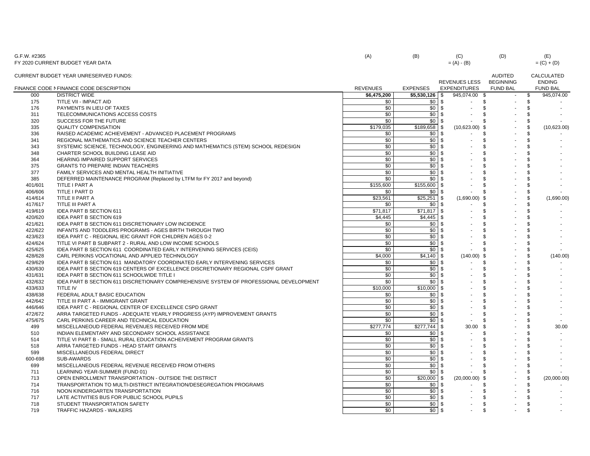| G.F.W. #2365 | FY 2020 CURRENT BUDGET YEAR DATA                                                       | (A)             | (B)                 | (C)<br>$= (A) - (B)$       | (D)                                | (E)<br>$= (C) + (D)$        |
|--------------|----------------------------------------------------------------------------------------|-----------------|---------------------|----------------------------|------------------------------------|-----------------------------|
|              | <b>CURRENT BUDGET YEAR UNRESERVED FUNDS:</b>                                           |                 |                     | <b>REVENUES LESS</b>       | <b>AUDITED</b><br><b>BEGINNING</b> | CALCULATED<br><b>ENDING</b> |
|              | FINANCE CODE NFINANCE CODE DESCRIPTION                                                 | <b>REVENUES</b> | <b>EXPENSES</b>     | <b>EXPENDITURES</b>        | <b>FUND BAL</b>                    | <b>FUND BAL</b>             |
| 000          | <b>DISTRICT WIDE</b>                                                                   | \$6,475,200     | \$5,530,126         | 945,074.00<br>- \$<br>- \$ |                                    | 945,074.00<br>\$            |
| 175          | TITLE VII - IMPACT AID                                                                 | \$0             | \$0                 | <b>S</b>                   | \$                                 | \$                          |
| 176          | PAYMENTS IN LIEU OF TAXES                                                              | \$0             | \$0                 | \$<br>\$.                  |                                    | \$                          |
| 311          | TELECOMMUNICATIONS ACCESS COSTS                                                        | \$0             | \$0                 | l \$                       |                                    | -\$                         |
| 320          | SUCCESS FOR THE FUTURE                                                                 | \$0             | \$0                 | l \$<br>\$.                |                                    | \$                          |
| 335          | <b>QUALITY COMPENSATION</b>                                                            | \$179,035       | \$189,658           | - \$<br>$(10,623.00)$ \$   |                                    | \$<br>(10,623.00)           |
| 336          | RAISED ACADEMIC ACHIEVEMENT - ADVANCED PLACEMENT PROGRAMS                              | \$0             | \$0                 | -\$                        |                                    | \$                          |
| 341          | REGIONAL MATHEMATICS AND SCIENCE TEACHER CENTERS                                       | \$0             | \$0                 | - \$<br>\$.                |                                    | -\$                         |
| 343          | SYSTEMIC SCIENCE, TECHNOLOGY, ENGINEERING AND MATHEMATICS (STEM) SCHOOL REDESIGN       | \$0             | \$0                 | -\$<br>\$.                 |                                    | $\mathfrak{L}$              |
| 348          | CHARTER SCHOOL BUILDING LEASE AID                                                      | \$0             | \$0                 | - \$<br>\$.                |                                    | \$                          |
| 364          | HEARING IMPAIRED SUPPORT SERVICES                                                      | \$0             | \$0                 | - \$<br>\$.                |                                    | \$                          |
| 375          | <b>GRANTS TO PREPARE INDIAN TEACHERS</b>                                               | \$0             | \$0                 | \$<br>- \$                 |                                    | \$                          |
| 377          | FAMILY SERVICES AND MENTAL HEALTH INITIATIVE                                           | \$0             | \$0                 | \$                         |                                    | \$                          |
| 385          | DEFERRED MAINTENANCE PROGRAM (Replaced by LTFM for FY 2017 and beyond)                 | \$0             | \$0                 | - \$<br>\$.                |                                    | \$                          |
| 401/601      | TITLE I PART A                                                                         | \$155,600       | \$155,600           | \$<br>- \$                 |                                    | \$                          |
| 406/606      | TITLE I PART D                                                                         | \$0             | \$0                 | - \$<br>\$.                |                                    | \$                          |
| 414/614      | TITLE II PART A                                                                        | \$23,561        | \$25,251            | $(1,690.00)$ \$<br>- \$    |                                    | (1,690.00)<br>\$            |
| 417/617      | TITLE III PART A                                                                       | \$0             | \$0                 | \$.                        |                                    | \$                          |
| 419/619      | IDEA PART B SECTION 611                                                                | \$71,817        | \$71,817            | l \$<br>\$.                |                                    | \$                          |
| 420/620      | IDEA PART B SECTION 619                                                                | \$4,445         | $\overline{$}4,445$ | - \$<br>\$                 |                                    | \$                          |
| 421/621      | IDEA PART B SECTION 611 DISCRETIONARY LOW INCIDENCE                                    | \$0             | \$0                 | \$                         |                                    | \$                          |
| 422/622      | INFANTS AND TODDLERS PROGRAMS - AGES BIRTH THROUGH TWO                                 | \$0             | \$0                 | \$.<br>-9                  |                                    | <b>β</b>                    |
| 423/623      | IDEA PART C - REGIONAL IEIC GRANT FOR CHILDREN AGES 0-2                                | \$0             | \$0                 | \$<br>- \$                 |                                    | \$                          |
| 424/624      | TITLE VI PART B SUBPART 2 - RURAL AND LOW INCOME SCHOOLS                               | \$0             | \$0                 | - \$<br>\$.                |                                    | \$                          |
| 425/625      |                                                                                        | \$0             | \$0                 | - \$                       |                                    | \$                          |
|              | IDEA PART B SECTION 611 COORDINATED EARLY INTERVENING SERVICES (CEIS)                  |                 |                     | \$                         |                                    |                             |
| 428/628      | CARL PERKINS VOCATIONAL AND APPLIED TECHNOLOGY                                         | \$4,000         | \$4,140             | $(140.00)$ \$<br>- \$      |                                    | \$<br>(140.00)              |
| 429/629      | IDEA PART B SECTION 611 MANDATORY COORDINATED EARLY INTERVENING SERVICES               | \$0             | \$0                 | - \$<br>\$                 |                                    | S.                          |
| 430/630      | IDEA PART B SECTION 619 CENTERS OF EXCELLENCE DISCRETIONARY REGIONAL CSPF GRANT        | \$0             | \$0                 | -\$<br>\$.                 |                                    | -\$                         |
| 431/631      | IDEA PART B SECTION 611 SCHOOLWIDE TITLE I                                             | \$0             | \$0                 | -\$<br>\$                  |                                    | \$                          |
| 432/632      | IDEA PART B SECTION 611 DISCRETIONARY COMPREHENSIVE SYSTEM OF PROFESSIONAL DEVELOPMENT | \$0             | \$0                 | - \$<br>\$.                |                                    | \$                          |
| 433/633      | TITLE IV                                                                               | \$10,000        | \$10,000            | \$.                        |                                    | -\$                         |
| 438/638      | FEDERAL ADULT BASIC EDUCATION                                                          | \$0             | \$0                 | \$<br>- \$                 |                                    | \$                          |
| 442/642      | TITLE III PART A - IMMIGRANT GRANT                                                     | \$0             | \$0                 | \$<br>- \$                 |                                    | Ŝ.                          |
| 446/646      | IDEA PART C - REGIONAL CENTER OF EXCELLENCE CSPD GRANT                                 | \$0             | \$0                 | \$.                        |                                    | \$                          |
| 472/672      | ARRA TARGETED FUNDS - ADEQUATE YEARLY PROGRESS (AYP) IMPROVEMENT GRANTS                | \$0             | \$0                 | - \$<br>\$.                |                                    | \$                          |
| 475/675      | CARL PERKINS CAREER AND TECHNICAL EDUCATION                                            | \$0             | \$0                 | - \$<br>\$.                |                                    | \$                          |
| 499          | MISCELLANEOUD FEDERAL REVENUES RECEIVED FROM MDE                                       | \$277,774       | \$277,744           | - \$<br>30.00<br>- \$      |                                    | 30.00<br>-\$                |
| 510          | INDIAN ELEMENTARY AND SECONDARY SCHOOL ASSISTANCE                                      | \$0             | \$0                 | \$.                        |                                    | \$                          |
| 514          | TITLE VI PART B - SMALL RURAL EDUCATION ACHEIVEMENT PROGRAM GRANTS                     | \$0             | \$0                 | - \$<br>\$                 |                                    | Ŝ.                          |
| 518          | ARRA TARGETED FUNDS - HEAD START GRANTS                                                | \$0             | \$0                 | - \$<br>\$.                |                                    | -\$                         |
| 599          | MISCELLANEOUS FEDERAL DIRECT                                                           | \$0             | \$0                 | \$.                        |                                    | \$                          |
| 600-698      | SUB-AWARDS                                                                             | \$0             | \$0                 | \$.<br>- \$                |                                    | -\$                         |
| 699          | MISCELLANEOUS FEDERAL REVENUE RECEIVED FROM OTHERS                                     | \$0             | \$0                 | - \$<br>\$                 |                                    | \$                          |
| 711          | LEARNING YEAR-SUMMER (FUND 01)                                                         | \$0             | \$0                 | \$.<br>- \$                |                                    | \$                          |
| 713          | OPEN ENROLLMENT TRANSPORTATION - OUTSIDE THE DISTRICT                                  | \$0             | \$20,000            | (20,000.00)<br>- \$<br>\$  |                                    | \$<br>(20,000.00)           |
| 714          | TRANSPORTATION TO MULTI-DISTRICT INTEGRATION/DESEGREGATION PROGRAMS                    | \$0             | \$0                 | -\$<br>\$.                 |                                    | \$                          |
| 716          | NOON KINDERGARTEN TRANSPORTATION                                                       | \$0             | \$0                 | - \$<br>\$.                |                                    | \$                          |
| 717          | LATE ACTIVITIES BUS FOR PUBLIC SCHOOL PUPILS                                           | \$0             | \$0                 | -\$<br>\$.                 |                                    | \$                          |
| 718          | STUDENT TRANSPORTATION SAFETY                                                          | \$0             | \$0                 | - \$<br>\$                 |                                    | \$                          |
| 719          | TRAFFIC HAZARDS - WALKERS                                                              | \$0             | \$0                 | l \$<br>\$.                |                                    | \$                          |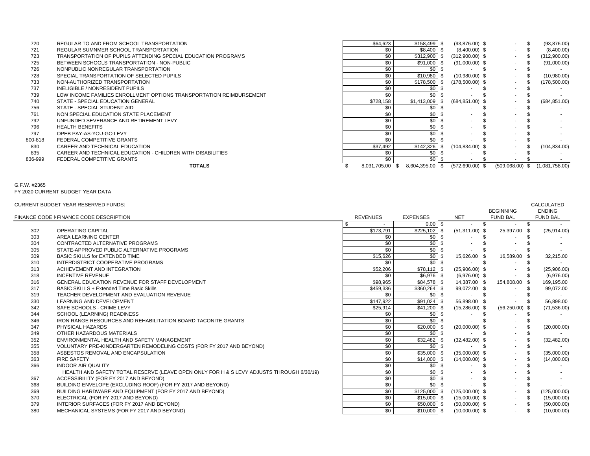|         | <b>TOTALS</b>                                                       | 8,031,705.00 \$ | 8,604,395.00 \$  | $(572,690.00)$ \$          | $(509,068.00)$ \$ | (1,081,758.00) |
|---------|---------------------------------------------------------------------|-----------------|------------------|----------------------------|-------------------|----------------|
| 836-999 | FEDERAL COMPETITIVE GRANTS                                          | \$0             | \$0 <sub>1</sub> |                            |                   |                |
| 835     | CAREER AND TECHNICAL EDUCATION - CHILDREN WITH DISABILITIES         | \$0             | \$0              |                            |                   |                |
| 830     | CAREER AND TECHNICAL EDUCATION                                      | \$37,492        | \$142,326        | $(104, 834.00)$ \$<br>- SS | $\sim$            | (104, 834.00)  |
| 800-818 | FEDERAL COMPETITIVE GRANTS                                          | \$0             | \$0              |                            | $\sim$            |                |
| 797     | OPEB PAY-AS-YOU-GO LEVY                                             | \$0             | \$0              |                            |                   |                |
| 796     | <b>HEALTH BENEFITS</b>                                              | \$0             | \$0              |                            |                   |                |
| 792     | UNFUNDED SEVERANCE AND RETIREMENT LEVY                              | \$0             | \$0              |                            |                   |                |
| 761     | NON SPECIAL EDUCATION STATE PLACEMENT                               | \$0             | \$0              |                            |                   |                |
| 756     | STATE - SPECIAL STUDENT AID                                         | \$0             | \$0              |                            | $\sim$            |                |
| 740     | STATE - SPECIAL EDUCATION GENERAL                                   | \$728,158       | \$1,413,009      | $(684, 851.00)$ \$         |                   | (684, 851.00)  |
| 739     | LOW INCOME FAMILIES ENROLLMENT OPTIONS TRANSPORTATION REIMBURSEMENT | \$0             | \$0              |                            | $\sim$            |                |
| 737     | INELIGIBLE / NONRESIDENT PUPILS                                     | \$0             | \$0              |                            | ۰.                |                |
| 733     | NON-AUTHORIZED TRANSPORTATION                                       | \$0             | \$178,500        | $(178,500.00)$ \$<br>- 96  | $\sim$            | (178,500.00)   |
| 728     | SPECIAL TRANSPORTATION OF SELECTED PUPILS                           | \$0             | \$10,980         | $(10,980.00)$ \$           | $\sim$ 10 $\pm$   | (10,980.00)    |
| 726     | NONPUBLIC NONREGULAR TRANSPORTATION                                 |                 | \$0              |                            | $\sim$            |                |
| 725     | BETWEEN SCHOOLS TRANSPORTATION - NON-PUBLIC                         | \$0             | $$91,000$ \ \$   | $(91,000.00)$ \$           | $\sim$            | (91,000.00)    |
| 723     | TRANSPORTATION OF PUPILS ATTENDING SPECIAL EDUCATION PROGRAMS       | \$0             | \$312,900        | $(312,900.00)$ \$          | $\sim$            | (312,900.00)   |
| 721     | REGULAR SUMNMER SCHOOL TRANSPORTATION                               |                 | $$8,400$ \ \$    | $(8,400.00)$ \$            | $\sim$            | (8,400.00)     |
| 720     | REGULAR TO AND FROM SCHOOL TRANSPORTATION                           | \$64,623        | $$158,499$ \ \$  | $(93,876.00)$ \$           | $\sim$            | (93, 876.00)   |

FY 2020 CURRENT BUDGET YEAR DATA

#### CURRENT BUDGET YEAR RESERVED FUNDS:CALCULATED

|                                                                                          |                                                                                |                  |                                          |                                                                                                                                                                                                                                   | <b>CALCULATED</b>                                                                                         |
|------------------------------------------------------------------------------------------|--------------------------------------------------------------------------------|------------------|------------------------------------------|-----------------------------------------------------------------------------------------------------------------------------------------------------------------------------------------------------------------------------------|-----------------------------------------------------------------------------------------------------------|
|                                                                                          |                                                                                |                  |                                          |                                                                                                                                                                                                                                   | <b>ENDING</b><br><b>FUND BAL</b>                                                                          |
|                                                                                          | \$                                                                             |                  |                                          |                                                                                                                                                                                                                                   |                                                                                                           |
| <b>OPERATING CAPITAL</b>                                                                 | \$173,791                                                                      |                  | $(51,311.00)$ \$                         |                                                                                                                                                                                                                                   | (25,914.00)                                                                                               |
| AREA LEARNING CENTER                                                                     | \$0                                                                            | \$0              |                                          |                                                                                                                                                                                                                                   |                                                                                                           |
| CONTRACTED ALTERNATIVE PROGRAMS                                                          | \$0                                                                            | \$0              |                                          |                                                                                                                                                                                                                                   |                                                                                                           |
| STATE-APPROVED PUBLIC ALTERNATIVE PROGRAMS                                               | \$0                                                                            | \$0              |                                          |                                                                                                                                                                                                                                   |                                                                                                           |
| <b>BASIC SKILLS for EXTENDED TIME</b>                                                    | \$15,626                                                                       | $\sqrt{50}$      | 15,626.00 \$                             |                                                                                                                                                                                                                                   | 32,215.00                                                                                                 |
| INTERDISTRICT COOPERATIVE PROGRAMS                                                       | \$0                                                                            | \$0              |                                          |                                                                                                                                                                                                                                   |                                                                                                           |
| ACHIEVEMENT AND INTEGRATION                                                              | \$52,206                                                                       |                  | $(25,906.00)$ \$                         |                                                                                                                                                                                                                                   | (25,906.00)                                                                                               |
| <b>INCENTIVE REVENUE</b>                                                                 | \$0                                                                            |                  | $(6,976.00)$ \$                          |                                                                                                                                                                                                                                   | (6,976.00)                                                                                                |
| <b>GENERAL EDUCATION REVENUE FOR STAFF DEVELOPMENT</b>                                   | \$98,965                                                                       |                  | 14,387.00 \$                             |                                                                                                                                                                                                                                   | 169,195.00                                                                                                |
| BASIC SKILLS + Extended Time Basic Skills                                                | \$459,336                                                                      |                  | 99,072.00 \$                             |                                                                                                                                                                                                                                   | 99,072.00                                                                                                 |
| TEACHER DEVELOPMENT AND EVALUATION REVENUE                                               | \$0                                                                            |                  |                                          |                                                                                                                                                                                                                                   |                                                                                                           |
| LEARNING AND DEVELOPMENT                                                                 | \$147,922                                                                      | $$91,024$ \$     | 56,898.00 \$                             |                                                                                                                                                                                                                                   | 56,898.00                                                                                                 |
| SAFE SCHOOLS - CRIME LEVY                                                                | \$25,914                                                                       |                  | $(15,286.00)$ \$                         |                                                                                                                                                                                                                                   | (71, 536.00)                                                                                              |
| SCHOOL (LEARNING) READINESS                                                              | \$0                                                                            | \$0              |                                          |                                                                                                                                                                                                                                   |                                                                                                           |
| IRON RANGE RESOURCES AND REHABILITATION BOARD TACONITE GRANTS                            | \$0                                                                            | \$0              |                                          |                                                                                                                                                                                                                                   |                                                                                                           |
| PHYSICAL HAZARDS                                                                         | \$0                                                                            | \$20,000         | $(20,000.00)$ \$                         |                                                                                                                                                                                                                                   | (20,000.00)                                                                                               |
| OTHER HAZARDOUS MATERIALS                                                                | \$0                                                                            | \$0              |                                          | $\sim$                                                                                                                                                                                                                            |                                                                                                           |
| ENVIRONMENTAL HEALTH AND SAFETY MANAGEMENT                                               | \$0                                                                            | \$32,482         | $(32, 482.00)$ \$                        |                                                                                                                                                                                                                                   | (32, 482.00)                                                                                              |
| VOLUNTARY PRE-KINDERGARTEN REMODELING COSTS (FOR FY 2017 AND BEYOND)                     | \$0                                                                            |                  |                                          | $\sim$                                                                                                                                                                                                                            |                                                                                                           |
| ASBESTOS REMOVAL AND ENCAPSULATION                                                       | \$0                                                                            | $$35,000$ \$     | $(35,000.00)$ \$                         | $\sim$                                                                                                                                                                                                                            | (35,000.00)                                                                                               |
| <b>FIRE SAFETY</b>                                                                       | \$0                                                                            |                  | $(14,000.00)$ \$                         |                                                                                                                                                                                                                                   | (14,000.00)                                                                                               |
| <b>INDOOR AIR QUALITY</b>                                                                | \$0                                                                            | \$0 <sub>1</sub> |                                          |                                                                                                                                                                                                                                   |                                                                                                           |
| HEALTH AND SAFETY TOTAL RESERVE (LEAVE OPEN ONLY FOR H & S LEVY ADJUSTS THROUGH 6/30/19) | \$0                                                                            | \$0 <sub>1</sub> |                                          |                                                                                                                                                                                                                                   |                                                                                                           |
| ACCESSIBILITY (FOR FY 2017 AND BEYOND)                                                   | \$0                                                                            | \$0              |                                          |                                                                                                                                                                                                                                   |                                                                                                           |
| BUILDING ENVELOPE (EXCLUDING ROOF) (FOR FY 2017 AND BEYOND)                              | $\overline{50}$                                                                | $\frac{1}{2}$    |                                          |                                                                                                                                                                                                                                   |                                                                                                           |
| BUILDING HARDWARE AND EQUIPMENT (FOR FY 2017 AND BEYOND)                                 | \$0                                                                            |                  | $(125,000.00)$ \$                        | $\sim$                                                                                                                                                                                                                            | (125,000.00)                                                                                              |
| ELECTRICAL (FOR FY 2017 AND BEYOND)                                                      | \$0                                                                            |                  | $(15,000.00)$ \$                         | $\sim$                                                                                                                                                                                                                            | \$<br>(15,000.00)                                                                                         |
| INTERIOR SURFACES (FOR FY 2017 AND BEYOND)                                               | \$0                                                                            |                  | $(50,000.00)$ \$                         | $\sim$                                                                                                                                                                                                                            | \$<br>(50,000.00)                                                                                         |
| MECHANICAL SYSTEMS (FOR FY 2017 AND BEYOND)                                              | $\overline{50}$                                                                |                  | $(10,000.00)$ \$                         | $\sim$                                                                                                                                                                                                                            | (10,000.00)                                                                                               |
|                                                                                          | CURRENT BUDGET YEAR RESERVED FUNDS:<br>FINANCE CODE N FINANCE CODE DESCRIPTION | <b>REVENUES</b>  | <b>EXPENSES</b><br>$\overline{$}225,102$ | <b>NET</b><br>$0.00$ \ \$<br>$$78,112$ \\$<br>$$6,976$ \ \$<br>$$84,578$ \ \$<br>$$360,264$ \$<br>$$0$ \ $$$<br>$$41,200$ \ \$<br>$$0$ \ $$$<br>$$14,000$ \$<br>$$125,000$ \ \$<br>$$15,000$ \$<br>$$50,000$ \ \$<br>$$10,000$ \$ | <b>BEGINNING</b><br><b>FUND BAL</b><br>25,397.00 \$<br>16,589.00 \$<br>154,808.00 \$<br>$(56, 250.00)$ \$ |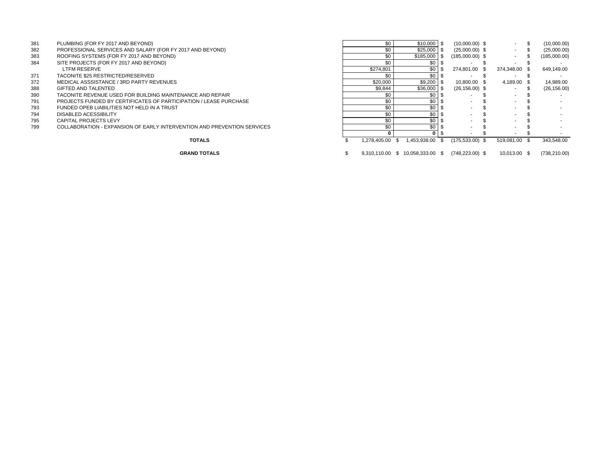| 381 | PLUMBING (FOR FY 2017 AND BEYOND)                                        | \$0             | $$10,000$ \ \$   | $(10,000.00)$ \$  |               | (10,000.00)  |
|-----|--------------------------------------------------------------------------|-----------------|------------------|-------------------|---------------|--------------|
| 382 | PROFESSIONAL SERVICES AND SALARY (FOR FY 2017 AND BEYOND)                | \$0             | $$25,000$ \ \$   | $(25,000.00)$ \$  |               | (25,000.00)  |
| 383 | ROOFING SYSTEMS (FOR FY 2017 AND BEYOND)                                 |                 | $$185.000$ \ \$  | $(185,000.00)$ \$ |               | (185,000.00) |
| 384 | SITE PROJECTS (FOR FY 2017 AND BEYOND)                                   |                 | \$0              |                   |               |              |
|     | <b>LTFM RESERVE</b>                                                      | \$274.801       | \$0              | 274.801.00 \$     | 374.348.00 \$ | 649.149.00   |
| 371 | TACONITE \$25 RESTRICTED/RESERVED                                        |                 | $$0 \quad $$     |                   |               |              |
| 372 | MEDICAL ASSSISTANCE / 3RD PARTY REVENUES                                 | \$20,000        | $$9.200$ \ \$    | 10.800.00 \$      | 4.189.00 \$   | 14.989.00    |
| 388 | GIFTED AND TALENTED                                                      | \$9,844         | \$36,000         | $(26, 156.00)$ \$ |               | (26, 156.00) |
| 390 | TACONITE REVENUE USED FOR BUILDING MAINTENANCE AND REPAIR                |                 | \$በ              |                   |               |              |
| 791 | <b>PROJECTS FUNDED BY CERTIFICATES OF PARTICIPATION / LEASE PURCHASE</b> |                 | \$0              |                   |               |              |
| 793 | FUNDED OPEB LIABILITIES NOT HELD IN A TRUST                              |                 | \$0              |                   |               |              |
| 794 | DISABLED ACESSIBILITY                                                    |                 | \$0              |                   |               |              |
| 795 | CAPITAL PROJECTS LEVY                                                    |                 | \$0              |                   |               |              |
| 799 | COLLABORATION - EXPANSION OF EARLY INTERVENTION AND PREVENTION SERVICES  |                 | \$0 <sub>5</sub> |                   |               |              |
|     |                                                                          |                 |                  |                   |               |              |
|     | <b>TOTALS</b>                                                            | 1.278.405.00 \$ | 1.453.938.00     | $(175.533.00)$ \$ | 519.081.00    | 343.548.00   |

**GRAND TOTALS**

 $$9,310,110.00 \$ 10,058,333.00 \$ 748,223.00) \$ 10,013.00 \$ (738,210.00)$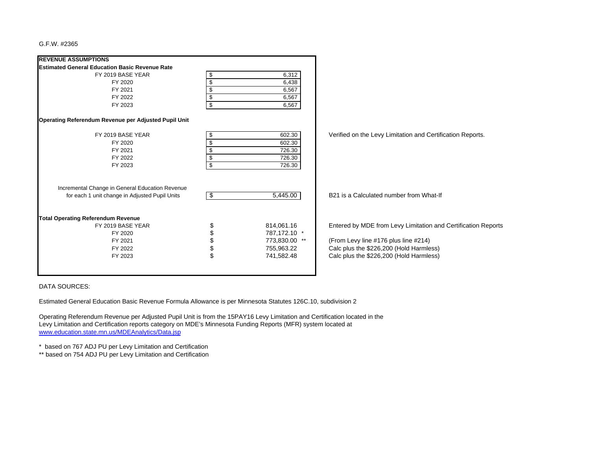| <b>REVENUE ASSUMPTIONS</b>                                                                        |      |               |                                                               |
|---------------------------------------------------------------------------------------------------|------|---------------|---------------------------------------------------------------|
| <b>Estimated General Education Basic Revenue Rate</b>                                             |      |               |                                                               |
| FY 2019 BASE YEAR                                                                                 | \$   | 6,312         |                                                               |
| FY 2020                                                                                           | \$   | 6,438         |                                                               |
| FY 2021                                                                                           | \$   | 6,567         |                                                               |
| FY 2022                                                                                           | \$   | 6,567         |                                                               |
| FY 2023                                                                                           | \$   | 6,567         |                                                               |
| Operating Referendum Revenue per Adjusted Pupil Unit                                              |      |               |                                                               |
| FY 2019 BASE YEAR                                                                                 | \$   | 602.30        | Verified on the Levy Limitation and Certification Reports.    |
| FY 2020                                                                                           | \$   | 602.30        |                                                               |
| FY 2021                                                                                           | \$   | 726.30        |                                                               |
| FY 2022                                                                                           | \$   | 726.30        |                                                               |
| FY 2023                                                                                           | \$   | 726.30        |                                                               |
| Incremental Change in General Education Revenue<br>for each 1 unit change in Adjusted Pupil Units | l \$ | 5,445.00      | B21 is a Calculated number from What-If                       |
|                                                                                                   |      |               |                                                               |
| <b>Total Operating Referendum Revenue</b>                                                         |      |               |                                                               |
| FY 2019 BASE YEAR                                                                                 |      | 814,061.16    | Entered by MDE from Levy Limitation and Certification Reports |
| FY 2020                                                                                           | \$   | 787,172.10 *  |                                                               |
| FY 2021                                                                                           | \$   | 773,830.00 ** | (From Levy line #176 plus line #214)                          |
| FY 2022                                                                                           | \$   | 755,963.22    | Calc plus the \$226,200 (Hold Harmless)                       |
| FY 2023                                                                                           | \$   | 741,582.48    | Calc plus the \$226,200 (Hold Harmless)                       |
|                                                                                                   |      |               |                                                               |

DATA SOURCES:

Estimated General Education Basic Revenue Formula Allowance is per Minnesota Statutes 126C.10, subdivision 2

Operating Referendum Revenue per Adjusted Pupil Unit is from the 15PAY16 Levy Limitation and Certification located in the Levy Limitation and Certification reports category on MDE's Minnesota Funding Reports (MFR) system located at www.education.state.mn.us/MDEAnalytics/Data.jsp

\* based on 767 ADJ PU per Levy Limitation and Certification

\*\* based on 754 ADJ PU per Levy Limitation and Certification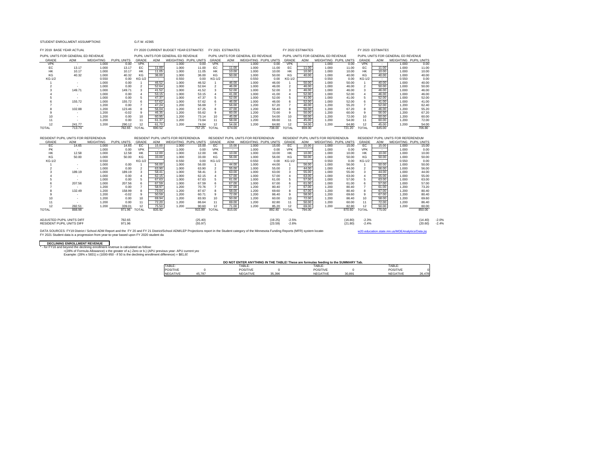### STUDENT ENROLLMENT ASSUMPTIONS

| FY 2019 BASE YEAR ACTUAL                                      |               |                    |                      |                        |                          | FY 2020 CURRENT BUDGET YEAR ESTIMATES |                    |                                 | FY 2021 ESTIMATES |                                     |                    | FY 2022 ESTIMATES        |                |                                     |                    |                                 | FY 2023 ESTIMATES |                                     |                    |                    |
|---------------------------------------------------------------|---------------|--------------------|----------------------|------------------------|--------------------------|---------------------------------------|--------------------|---------------------------------|-------------------|-------------------------------------|--------------------|--------------------------|----------------|-------------------------------------|--------------------|---------------------------------|-------------------|-------------------------------------|--------------------|--------------------|
| PUPIL UNITS FOR GENERAL ED REVENUE                            |               |                    |                      |                        |                          | PUPIL UNITS FOR GENERAL ED REVENUE    |                    |                                 |                   | PUPIL UNITS FOR GENERAL ED REVENUE  |                    |                          |                | PUPIL UNITS FOR GENERAL ED REVENUE  |                    |                                 |                   | PUPIL UNITS FOR GENERAL ED REVENUE  |                    |                    |
| GRADE                                                         | ADM           | <b>WEIGHTING</b>   | <b>PUPIL UNITS</b>   | GRADE                  | ADM                      | WEIGHTING PUPIL UNITS                 |                    | GRADE                           | ADM               | WEIGHTING PUPIL UNITS               |                    | GRADE                    | ADM            | WEIGHTING PUPIL UNITS               |                    | GRADE                           | ADM               | WEIGHTING PUPIL UNITS               |                    |                    |
| <b>VPK</b>                                                    | . п.          | 1.000              | 0.00                 | <b>VPK</b>             | $\overline{\phantom{a}}$ | 1.000                                 | 0.00               | <b>VPK</b>                      | $\sim$            | 1.000                               | 0.00               | <b>VPK</b>               | $\sim$         | 1.000                               | 0.00               | <b>VPK</b>                      | $\sim$            | 1.000                               | 0.00               |                    |
| EC                                                            | 13.17         | 1.000              | 13.17                | EC                     | 11.00                    | 1.000                                 | 11.00              | EC                              | 11.00             | 1.000                               | 11.00              | EC                       | 11.00          | 1.000                               | 11.00              | EC                              | 11.00             | 1.000                               | 11.00              |                    |
| <b>HK</b>                                                     | 10.17         | 1.000              | 10.17                | <b>HK</b>              | 11.05                    | 1.000                                 | 11.05              | HK                              | 10.00             | 1.000                               | 10.00              | HK                       | 10.00          | 1.000                               | 10.00              | <b>HK</b>                       | 10.00             | 1.000                               | 10.00              |                    |
| KG                                                            | 40.32         | 1.000              | 40.32                | KG                     | 36.00                    | 1.000                                 | 36.00              | KG                              | 50.00             | 1.000                               | 50.00              | KG                       | 40.00          | 1.000                               | 40.00              | KG                              | 40.00             | 1.000                               | 40.00              |                    |
| KG-1/2                                                        | $\sim$        | 0.550<br>1.000     | 0.00<br>0.00         | KG-1/2<br>$\mathbf{1}$ | $\sim$<br>46.52          | 0.550<br>1.000                        | 0.00<br>46.52      | <b>KG-1/2</b><br>$\overline{1}$ | $\sim$<br>46.00   | 0.550<br>1.000                      | 0.00<br>46.00      | KG-1/2<br>$\overline{1}$ | 50.00          | 0.550<br>1.000                      | 0.00<br>50.00      | <b>KG-1/2</b><br>$\overline{1}$ | $\sim$<br>40.00   | 0.550<br>1.000                      | 0.00<br>40.00      |                    |
| $\mathfrak{p}$                                                | ٠             | 1.000              | 0.00                 | $\mathcal{P}$          | 52.64                    | 1.000                                 | 52.64              | $\overline{2}$                  | 46.00             | 1.000                               | 46.00              | $\overline{2}$           | 46.00          | 1.000                               | 46.00              | $\overline{2}$                  | 50.00             | 1.000                               | 50.00              |                    |
| ٩                                                             | 149.71        | 1.000              | 149.71               | 3                      | 41.52                    | 1.000                                 | 41.52              | 3                               | 52.00             | 1.000                               | 52.00              | 3                        | 46.00          | 1.000                               | 46.00              | 3                               | 46.00             | 1.000                               | 46.00              |                    |
|                                                               | $\sim$        | 1.000              | 0.00                 | $\overline{4}$         | 53.15                    | 1.000                                 | 53.15              | 4                               | 41.00             | 1.000                               | 41.00              | $\overline{4}$           | 52.00          | 1.000                               | 52.00              | $\overline{4}$                  | 46.00             | 1.000                               | 46.00              |                    |
|                                                               |               | 1.000              | 0.00                 | 5                      | 47.37                    | 1.000                                 | 47.37              | 5                               | 52.00             | 1.000                               | 52.00              | 5                        | 41.00          | 1.000                               | 41.00              | 5                               | 52.00             | 1.000                               | 52.00              |                    |
|                                                               | 155.72        | 1.000              | 155.72               | 6                      | 57.62                    | 1.000                                 | 57.62              | 6                               | 46.00             | 1.000                               | 46.00              | 6                        | 52.00          | 1.000                               | 52.00              | 6                               | 41.00             | 1.000                               | 41.00              |                    |
|                                                               | <b>1999</b>   | 1.200              | 0.00                 | $\overline{7}$         | 47.24                    | 1.200                                 | 56.69              | $\overline{7}$                  | 56.00             | 1.200                               | 67.20              | $\overline{7}$           | 46.00          | 1.200                               | 55.20              | $\overline{7}$                  | 52.00             | 1.200                               | 62.40              |                    |
|                                                               | 102.88        | 1.200              | 123.46               | 8                      | 56.04                    | 1.200                                 | 67.25              | 8                               | 47.00             | 1.200                               | 56.40              | 8                        | 56.00          | 1.200                               | 67.20              | 8                               | 46.00             | 1.200                               | 55.20              |                    |
| 9                                                             | ×.            | 1.200              | $-0.02$              | 9                      | 46.35                    | 1.200                                 | 55.62              | 9                               | 60.00             | 1.200                               | 72.00              | 9                        | 50.00          | 1.200                               | 60.00              | 9                               | 56.00             | 1.200                               | 67.20              |                    |
| 10                                                            | ٠             | 1.200              | 0.00                 | 10                     | 60.95                    | 1.200                                 | 73.14              | 10                              | 45.00             | 1.200                               | 54.00              | 10                       | 60.00          | 1.200                               | 72.00              | 10                              | 50.00             | 1.200                               | 60.00              |                    |
| 11                                                            |               | 1.200              | 0.00                 | 11                     | 61.37                    | 1.200                                 | 73.64              | 11                              | 58.00             | 1.200                               | 69.60              | 11                       | 45.00          | 1.200                               | 54.00              | 11                              | 60.00             | 1.200                               | 72.00              |                    |
| 12                                                            | 241.77        | 1.200              | 290.12               | 12                     | 61.70                    | 1.200                                 | 74.04              | 12                              | 54.00             | 1.200                               | 64.80              | 12                       | 54.00          | 1.200                               | 64.80              | 12                              | 45.00             | 1.200                               | 54.00              |                    |
| <b>TOTAL</b>                                                  | 713.74        |                    | 782.65               | <b>TOTAL</b>           | 690.52                   |                                       | 757.25             | <b>TOTAL</b>                    | 674.00            |                                     | 738.00             | <b>TOTAL</b>             | 659.00         |                                     | 721.20             | <b>TOTAL</b>                    | 645.00            |                                     | 706.80             |                    |
|                                                               |               |                    |                      |                        |                          |                                       |                    |                                 |                   |                                     |                    |                          |                |                                     |                    |                                 |                   |                                     |                    |                    |
|                                                               |               |                    |                      |                        |                          |                                       |                    |                                 |                   |                                     |                    |                          |                |                                     |                    |                                 |                   |                                     |                    |                    |
|                                                               |               |                    |                      |                        |                          |                                       |                    |                                 |                   |                                     |                    |                          |                |                                     |                    |                                 |                   |                                     |                    |                    |
| RESIDENT PUPIL UNITS FOR REFERENDUM<br>GRADE                  | <b>ADM</b>    |                    |                      | GRADE                  | <b>ADM</b>               | RESIDENT PUPIL UNITS FOR REFERENDUM   |                    | GRADE                           | ADM               | RESIDENT PUPIL UNITS FOR REFERENDUM |                    |                          | ADM            | RESIDENT PUPIL UNITS FOR REFERENDUM |                    | GRADE                           | ADM               | RESIDENT PUPIL UNITS FOR REFERENDUM |                    |                    |
| FC.                                                           | 14.65         | WEIGHTING<br>1.000 | PUPIL UNITS<br>14.65 | FC.                    | 15.00                    | WEIGHTING PUPIL UNITS<br>1.000        | 15.00              | FC.                             | 15.00             | WEIGHTING PUPIL UNITS<br>1.000      | 15.00              | GRADE<br>FC.             | 15.00          | WEIGHTING PUPIL UNITS<br>1.000      | 15.00              | FC.                             | 15.00             | WEIGHTING PUPIL UNITS<br>1.000      | 15.00              |                    |
| PK                                                            |               | 1.000              | 0.00                 | <b>VPK</b>             | $\sim$                   | 1.000                                 | 0.00               | <b>VPK</b>                      | $\sim$            | 1.000                               | 0.00               | <b>VPK</b>               | <b>1999</b>    | 1.000                               | 0.00               | <b>VPK</b>                      | $\sim$            | 1.000                               | 0.00               |                    |
| <b>HK</b>                                                     | 12.58         | 1.000              | 12.58                | HK                     | 12.00                    | 1.000                                 | 12.00              | HK                              | 10.00             | 1.000                               | 10.00              | HK                       | 10.00          | 1.000                               | 10.00              | <b>HK</b>                       | 10.00             | 1.000                               | 10.00              |                    |
| KG                                                            | 50.00         | 1.000              | 50.00                | KG                     | 33.00                    | 1.000                                 | 33.00              | KG                              | 56.00             | 1.000                               | 56.00              | KG                       | 50.00          | 1.000                               | 50.00              | KG                              | 50.00             | 1.000                               | 50.00              |                    |
| KG-1/2                                                        |               | 0.550              |                      | <b>KG-1/2</b>          |                          | 0.550                                 | 0.00               | <b>KG-1/2</b>                   | <b>A</b>          | 0.550                               | 0.00               | KG-1/2                   | $\sim$         | 0.550                               | 0.00               | <b>KG-1/2</b>                   | $\sim$            | 0.550                               | 0.00               |                    |
|                                                               | $\sim$        | 1.000              | 0.00                 | $\blacktriangleleft$   | 56.00                    | 1.000                                 | 56.00              | $\overline{1}$                  | 44.00             | 1.000                               | 44.00              | $\overline{1}$           | 56.00          | 1.000                               | 56.00              | $\overline{1}$                  | 50.00             | 1.000                               | 50.00              |                    |
| $\overline{2}$                                                | $\sim$        | 1.000              | 0.00                 | $\overline{2}$         | 63.90                    | 1.000                                 | 63.90              | $\overline{2}$                  | 55.00             | 1.000                               | 55.00              | $\overline{2}$           | 44.00          | 1.000                               | 44.00              | $\overline{2}$                  | 56.00             | 1.000                               | 56.00              |                    |
|                                                               | 189.19        | 1.000              | 189.19               | 3                      | 58.41                    | 1.000                                 | 58.41              | 3                               | 63.00             | 1.000                               | 63.00              | 3                        | 55.00          | 1.000                               | 55.00              | 3                               | 44.00             | 1.000                               | 44.00              |                    |
|                                                               | $\sim$        | 1.000              | 0.00                 | $\overline{4}$         | 62.15                    | 1.000                                 | 62.15              | 4                               | 57.00             | 1.000                               | 57.00              | $\overline{4}$           | 63.00          | 1.000                               | 63.00              | $\overline{4}$                  | 55.00             | 1.000                               | 55.00              |                    |
|                                                               | $\sim$        | 1.000              | 0.00                 | 5                      | 67.63                    | 1.000                                 | 67.63              | 5                               | 61.00             | 1.000                               | 61.00              | 5                        | 57.00          | 1.000                               | 57.00              | 5                               | 63.00             | 1.000                               | 63.00              |                    |
|                                                               | 207.56        | 1.000              | 207.56               | 6<br>$\overline{7}$    | 67.59                    | 1.000                                 | 67.59              | 6                               | 67.00             | 1.000                               | 67.00              | 6                        | 61.00          | 1.000                               | 61.00              | 6                               | 57.00             | 1.000                               | 57.00              |                    |
|                                                               |               | 1.200              | 0.00                 |                        | 58.97                    | 1.200                                 | 70.76              | $\overline{7}$                  | 67.00             | 1.200                               | 80.40              | $\overline{7}$           | 67.00          | 1.200                               | 80.40              | $\overline{7}$                  | 61.00             | 1.200                               | 73.20              |                    |
|                                                               | 132.49<br>- 2 | 1.200              | 158.99               | 8<br>9                 | 73.04<br>50.59           | 1.200                                 | 87.67              | 8<br>9                          | 58.00             | 1.200<br>1.200                      | 69.60              | $\mathbf{a}$             | 67.00<br>58.00 | 1.200<br>1.200                      | 80.40              | 8<br>9                          | 67.00             | 1.200                               | 80.40              |                    |
|                                                               |               | 1.200              | $-0.02$              |                        |                          | 1.200                                 | 60.71              |                                 | 72.00             |                                     | 86.40              | 9                        |                |                                     | 69.60              |                                 | 67.00             | 1.200                               | 80.40              |                    |
| 10<br>11                                                      |               | 1.200<br>1.200     | 0.00<br>0.00         | 10<br>11               | 69.94<br>72.20           | 1.200<br>1.200                        | 83.93<br>86.64     | 10<br>11                        | 50.00<br>69.00    | 1.200<br>1.200                      | 60.00<br>82.80     | 10<br>11                 | 72.00<br>50.00 | 1.200<br>1.200                      | 86.40<br>60.00     | 10<br>11                        | 58.00<br>72.00    | 1.200<br>1.200                      | 69.60<br>86.40     |                    |
| 12                                                            | 282.51        | 1.200              | 339.01               | 12                     | 75.50                    | 1.200                                 | 90.60              | 12                              | 71.00             | 1.200                               | 85.20              | 12                       | 69.00          | 1.200                               | 82.80              | 12                              | 50.00             | 1.200                               | 60.00              |                    |
| <b>TOTAL</b>                                                  | 888.98        |                    | 971.96               | <b>TOTAL</b>           | 835.92                   |                                       | 915.99             | <b>TOTAL</b>                    | 815.00            |                                     | 892.40             | TOTAL                    | 794.00         |                                     | 870.60             | <b>TOTAL</b>                    | 775.00            |                                     | 850.00             |                    |
|                                                               |               |                    |                      |                        |                          |                                       |                    |                                 |                   |                                     |                    |                          |                |                                     |                    |                                 |                   |                                     |                    |                    |
|                                                               |               |                    |                      |                        |                          |                                       |                    |                                 |                   |                                     |                    |                          |                |                                     |                    |                                 |                   |                                     |                    |                    |
| ADJUSTED PUPIL UNITS DIFF<br><b>RESIDENT PUPIL UNITS DIFF</b> |               |                    | 782.65<br>971.96     |                        |                          |                                       | (25.40)<br>(55.97) |                                 |                   |                                     | (19.25)<br>(23.59) | $-2.5%$<br>$-2.6%$       |                |                                     | (16.80)<br>(21.80) | $-2.3%$<br>$-2.4%$              |                   |                                     | (14.40)<br>(20.60) | $-2.0%$<br>$-2.4%$ |

DATA SOURCES: FY19 District /Schol ADM Report and the FY 20 and FY 21 District/School ADM/LEP Projections report in the Student category of the Minnesota Funding Reports (MFR) system locate( www.20.education.state.mn.us/MD

#### **DECLINING ENROLLMENT REVENUE**

f - for FY16 and beyond the declining enrollment revenue is calculated as follow:<br>(28% of Formula Allowance) x the greater of a.) Zero or b.) (APU previous year- APU current yea. "<br>Example: (28% x 5831) x (1000-950 - if 5

|  | DO NOT ENTER ANYTHING IN THE TABLE! These are formulas feeding to the SUMMARY Tab. |  |
|--|------------------------------------------------------------------------------------|--|
|  |                                                                                    |  |

| TABLE:   |        | TABLE.          |                 | <b>TABLE</b>    |       | TABLE.                |        |
|----------|--------|-----------------|-----------------|-----------------|-------|-----------------------|--------|
| POSITIVE |        | <b>POSITIVE</b> |                 | <b>POSITIVE</b> |       | <b>POSITIVE</b>       |        |
| NEGATIVE | 45.787 | NEGATIVE        | 0.500<br>-33.33 | NEGATIVE        | 30.89 | NIEO ATIVE<br>NEGATIV | 26.478 |
|          |        |                 |                 |                 |       |                       |        |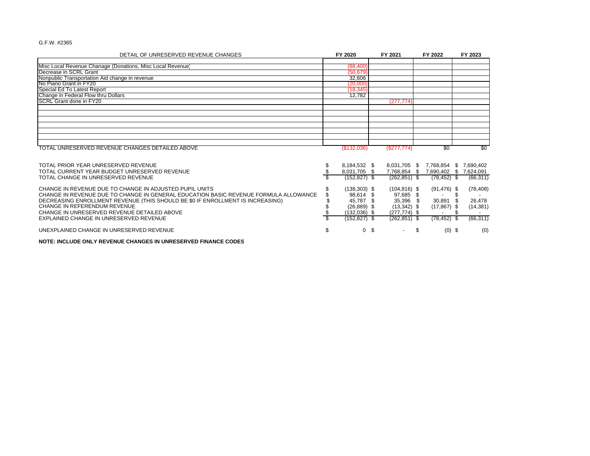| DETAIL OF UNRESERVED REVENUE CHANGES                                                                                                                          |   | FY 2020                                         | FY 2021                                         |   | FY 2022                        | FY 2023                                          |  |
|---------------------------------------------------------------------------------------------------------------------------------------------------------------|---|-------------------------------------------------|-------------------------------------------------|---|--------------------------------|--------------------------------------------------|--|
|                                                                                                                                                               |   |                                                 |                                                 |   |                                |                                                  |  |
| Misc Local Revenue Chanage (Donations, Misc Local Revenue)<br>Decrease in SCRL Grant                                                                          |   | (88, 400)<br>(50.679)                           |                                                 |   |                                |                                                  |  |
| Nonpublic Transportation Aid change in revenue                                                                                                                |   | 32,606                                          |                                                 |   |                                |                                                  |  |
| No Piano Grant in FY20                                                                                                                                        |   | (20,000)                                        |                                                 |   |                                |                                                  |  |
| Special Ed To Latest Report                                                                                                                                   |   | (18, 345)                                       |                                                 |   |                                |                                                  |  |
| Change in Federal Flow thru Dollars                                                                                                                           |   | 12,782                                          |                                                 |   |                                |                                                  |  |
| <b>ISCRL Grant done in FY20</b>                                                                                                                               |   |                                                 | (277.774)                                       |   |                                |                                                  |  |
|                                                                                                                                                               |   |                                                 |                                                 |   |                                |                                                  |  |
|                                                                                                                                                               |   |                                                 |                                                 |   |                                |                                                  |  |
|                                                                                                                                                               |   |                                                 |                                                 |   |                                |                                                  |  |
|                                                                                                                                                               |   |                                                 |                                                 |   |                                |                                                  |  |
|                                                                                                                                                               |   |                                                 |                                                 |   |                                |                                                  |  |
| TOTAL UNRESERVED REVENUE CHANGES DETAILED ABOVE                                                                                                               |   | (S132,036)                                      | (S277, 774)                                     |   | \$0                            | \$0                                              |  |
| TOTAL PRIOR YEAR UNRESERVED REVENUE<br>TOTAL CURRENT YEAR BUDGET UNRESERVED REVENUE<br>TOTAL CHANGE IN UNRESERVED REVENUE                                     |   | 8,184,532 \$<br>8,031,705 \$<br>$(152, 827)$ \$ | 8,031,705 \$<br>7,768,854 \$<br>$(262, 851)$ \$ |   | 7,768,854 \$<br>$(78, 452)$ \$ | 7,690,402<br>7,690,402 \$ 7,624,091<br>(66, 311) |  |
| CHANGE IN REVENUE DUE TO CHANGE IN ADJUSTED PUPIL UNITS<br>CHANGE IN REVENUE DUE TO CHANGE IN GENERAL EDUCATION BASIC REVENUE FORMULA ALLOWANCE               |   | $(138, 303)$ \$<br>98,614 \$                    | $(104, 816)$ \$<br>97,685 \$                    |   | $(91, 476)$ \$                 | (78, 408)                                        |  |
| DECREASING ENROLLMENT REVENUE (THIS SHOULD BE \$0 IF ENROLLMENT IS INCREASING)<br>CHANGE IN REFERENDUM REVENUE<br>CHANGE IN UNRESERVED REVENUE DETAILED ABOVE |   | 45,787 \$<br>$(26,889)$ \$<br>$(132,036)$ \$    | 35,396 \$<br>$(13,342)$ \$<br>$(277.774)$ \$    |   | 30,891<br>$(17,867)$ \$        | 26,478<br>(14, 381)                              |  |
| EXPLAINED CHANGE IN UNRESERVED REVENUE                                                                                                                        |   | (152,827) \$                                    | $(262, 851)$ \$                                 |   | $(78, 452)$ \$                 | (66, 311)                                        |  |
| UNEXPLAINED CHANGE IN UNRESERVED REVENUE                                                                                                                      | S |                                                 | 0 <sup>5</sup><br>$\overline{\phantom{a}}$      | S | $(0)$ \$                       | (0)                                              |  |

**NOTE: INCLUDE ONLY REVENUE CHANGES IN UNRESERVED FINANCE CODES**